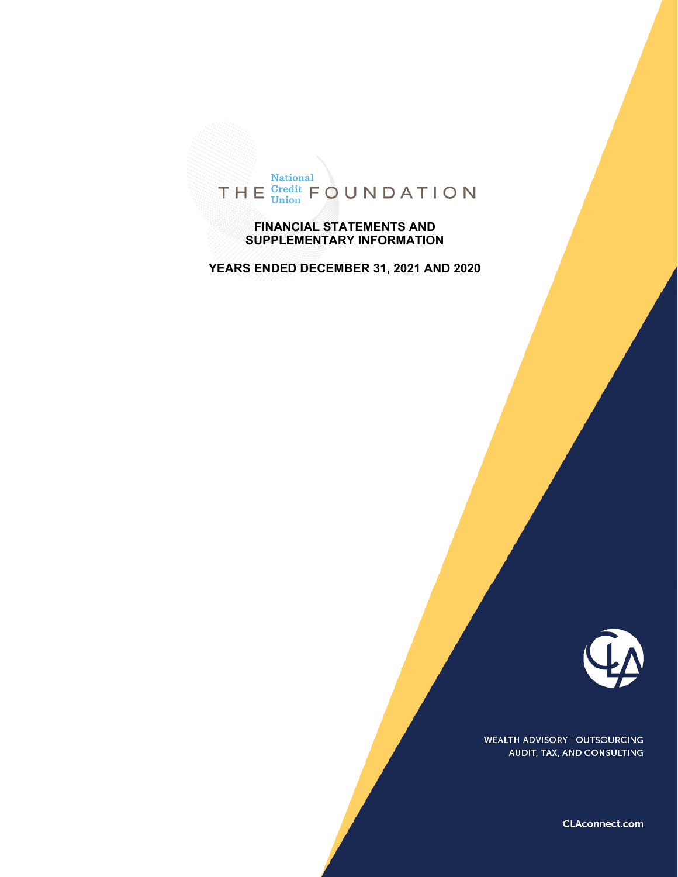# **National** THE Credit FOUNDATION

### **FINANCIAL STATEMENTS AND SUPPLEMENTARY INFORMATION**

**YEARS ENDED DECEMBER 31, 2021 AND 2020**



**WEALTH ADVISORY | OUTSOURCING** AUDIT, TAX, AND CONSULTING

CLAconnect.com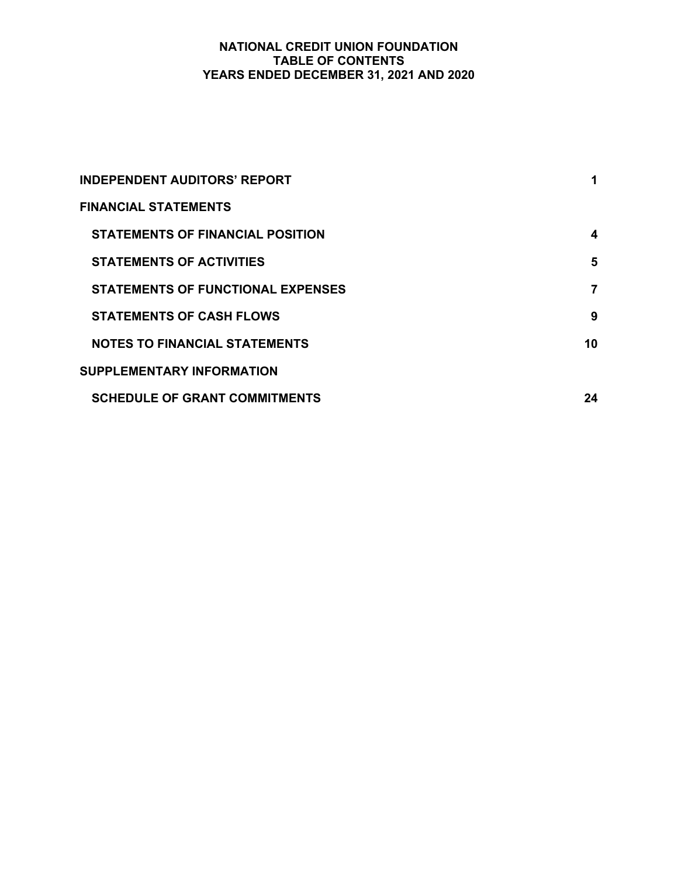## **NATIONAL CREDIT UNION FOUNDATION TABLE OF CONTENTS YEARS ENDED DECEMBER 31, 2021 AND 2020**

| <b>INDEPENDENT AUDITORS' REPORT</b>      | 1  |
|------------------------------------------|----|
| <b>FINANCIAL STATEMENTS</b>              |    |
| <b>STATEMENTS OF FINANCIAL POSITION</b>  | 4  |
| <b>STATEMENTS OF ACTIVITIES</b>          | 5  |
| <b>STATEMENTS OF FUNCTIONAL EXPENSES</b> | 7  |
| <b>STATEMENTS OF CASH FLOWS</b>          | 9  |
| <b>NOTES TO FINANCIAL STATEMENTS</b>     | 10 |
| <b>SUPPLEMENTARY INFORMATION</b>         |    |
| <b>SCHEDULE OF GRANT COMMITMENTS</b>     | 24 |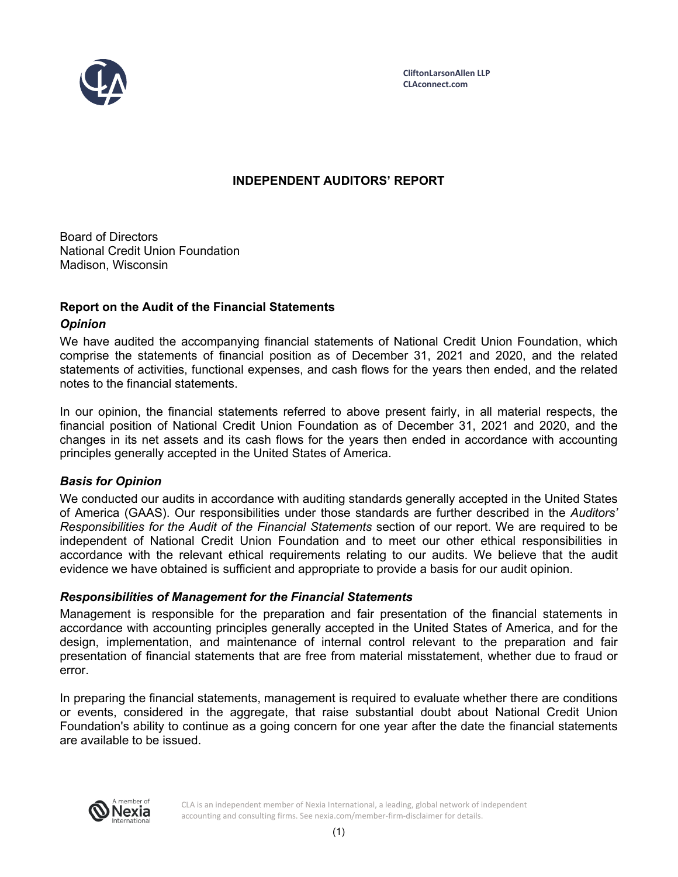

## **INDEPENDENT AUDITORS' REPORT**

Board of Directors National Credit Union Foundation Madison, Wisconsin

## **Report on the Audit of the Financial Statements**

### *Opinion*

We have audited the accompanying financial statements of National Credit Union Foundation, which comprise the statements of financial position as of December 31, 2021 and 2020, and the related statements of activities, functional expenses, and cash flows for the years then ended, and the related notes to the financial statements.

In our opinion, the financial statements referred to above present fairly, in all material respects, the financial position of National Credit Union Foundation as of December 31, 2021 and 2020, and the changes in its net assets and its cash flows for the years then ended in accordance with accounting principles generally accepted in the United States of America.

## *Basis for Opinion*

We conducted our audits in accordance with auditing standards generally accepted in the United States of America (GAAS). Our responsibilities under those standards are further described in the *Auditors' Responsibilities for the Audit of the Financial Statements* section of our report. We are required to be independent of National Credit Union Foundation and to meet our other ethical responsibilities in accordance with the relevant ethical requirements relating to our audits. We believe that the audit evidence we have obtained is sufficient and appropriate to provide a basis for our audit opinion.

## *Responsibilities of Management for the Financial Statements*

Management is responsible for the preparation and fair presentation of the financial statements in accordance with accounting principles generally accepted in the United States of America, and for the design, implementation, and maintenance of internal control relevant to the preparation and fair presentation of financial statements that are free from material misstatement, whether due to fraud or error.

In preparing the financial statements, management is required to evaluate whether there are conditions or events, considered in the aggregate, that raise substantial doubt about National Credit Union Foundation's ability to continue as a going concern for one year after the date the financial statements are available to be issued.

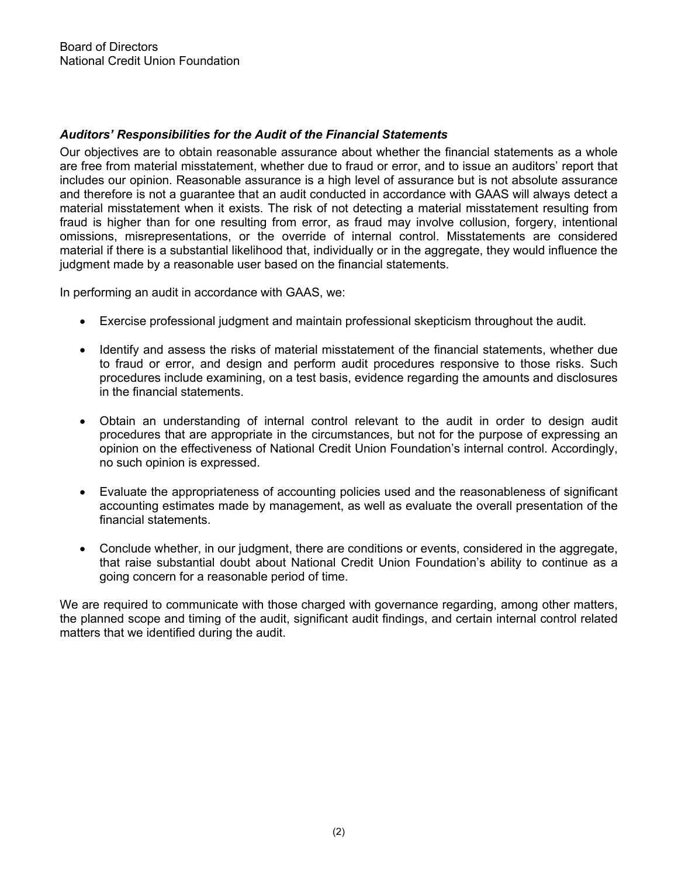## *Auditors' Responsibilities for the Audit of the Financial Statements*

Our objectives are to obtain reasonable assurance about whether the financial statements as a whole are free from material misstatement, whether due to fraud or error, and to issue an auditors' report that includes our opinion. Reasonable assurance is a high level of assurance but is not absolute assurance and therefore is not a guarantee that an audit conducted in accordance with GAAS will always detect a material misstatement when it exists. The risk of not detecting a material misstatement resulting from fraud is higher than for one resulting from error, as fraud may involve collusion, forgery, intentional omissions, misrepresentations, or the override of internal control. Misstatements are considered material if there is a substantial likelihood that, individually or in the aggregate, they would influence the judgment made by a reasonable user based on the financial statements.

In performing an audit in accordance with GAAS, we:

- Exercise professional judgment and maintain professional skepticism throughout the audit.
- Identify and assess the risks of material misstatement of the financial statements, whether due to fraud or error, and design and perform audit procedures responsive to those risks. Such procedures include examining, on a test basis, evidence regarding the amounts and disclosures in the financial statements.
- Obtain an understanding of internal control relevant to the audit in order to design audit procedures that are appropriate in the circumstances, but not for the purpose of expressing an opinion on the effectiveness of National Credit Union Foundation's internal control. Accordingly, no such opinion is expressed.
- Evaluate the appropriateness of accounting policies used and the reasonableness of significant accounting estimates made by management, as well as evaluate the overall presentation of the financial statements.
- Conclude whether, in our judgment, there are conditions or events, considered in the aggregate, that raise substantial doubt about National Credit Union Foundation's ability to continue as a going concern for a reasonable period of time.

We are required to communicate with those charged with governance regarding, among other matters, the planned scope and timing of the audit, significant audit findings, and certain internal control related matters that we identified during the audit.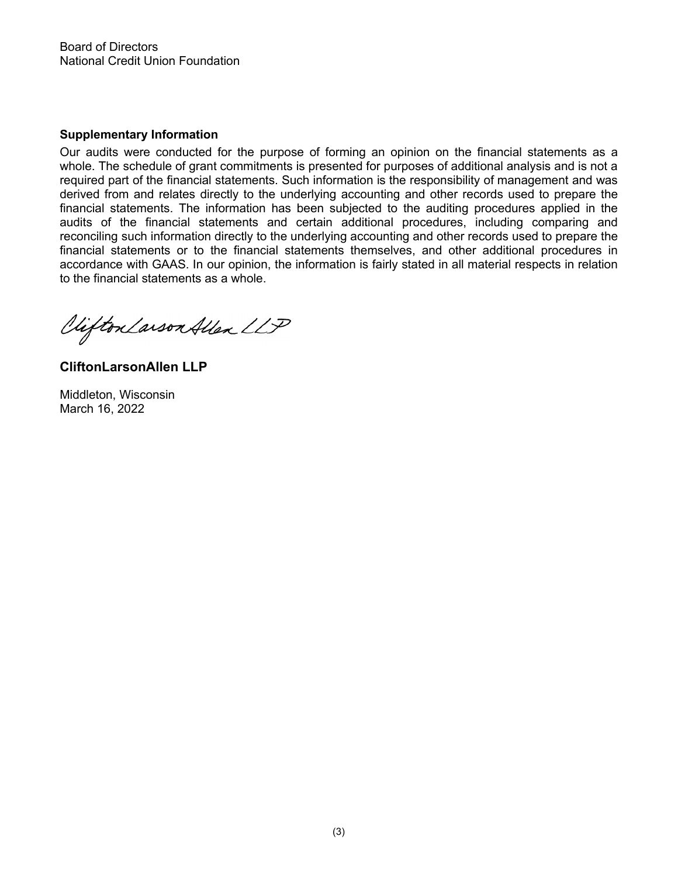### **Supplementary Information**

Our audits were conducted for the purpose of forming an opinion on the financial statements as a whole. The schedule of grant commitments is presented for purposes of additional analysis and is not a required part of the financial statements. Such information is the responsibility of management and was derived from and relates directly to the underlying accounting and other records used to prepare the financial statements. The information has been subjected to the auditing procedures applied in the audits of the financial statements and certain additional procedures, including comparing and reconciling such information directly to the underlying accounting and other records used to prepare the financial statements or to the financial statements themselves, and other additional procedures in accordance with GAAS. In our opinion, the information is fairly stated in all material respects in relation to the financial statements as a whole.

Viifton Larson Allen LLP

**CliftonLarsonAllen LLP**

Middleton, Wisconsin March 16, 2022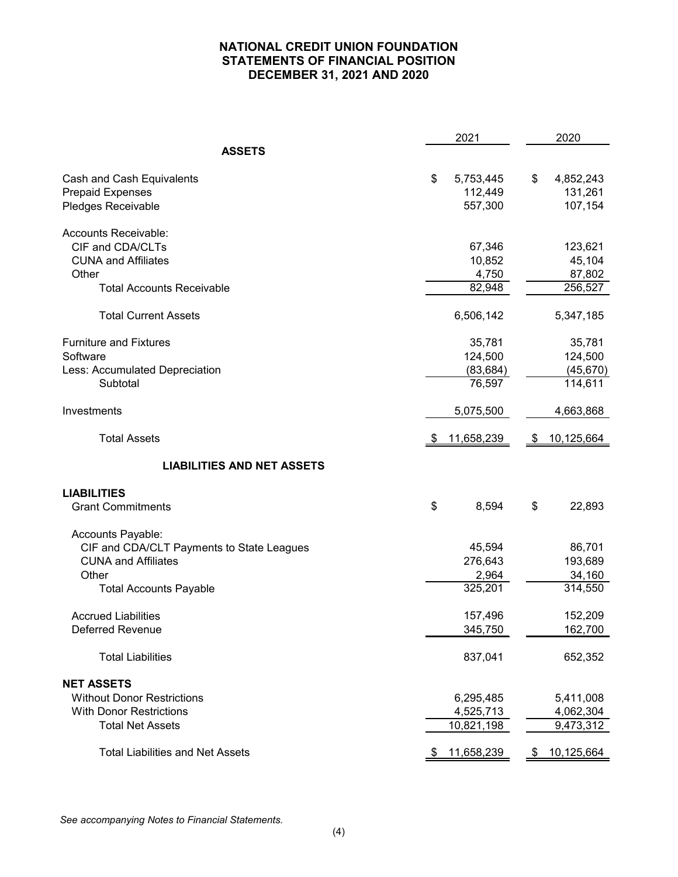## **NATIONAL CREDIT UNION FOUNDATION STATEMENTS OF FINANCIAL POSITION DECEMBER 31, 2021 AND 2020**

|                                           | 2021               | 2020                        |
|-------------------------------------------|--------------------|-----------------------------|
| <b>ASSETS</b>                             |                    |                             |
| Cash and Cash Equivalents                 | \$<br>5,753,445    | \$<br>4,852,243             |
| <b>Prepaid Expenses</b>                   | 112,449            | 131,261                     |
| Pledges Receivable                        | 557,300            | 107,154                     |
| Accounts Receivable:                      |                    |                             |
| CIF and CDA/CLTs                          | 67,346             | 123,621                     |
| <b>CUNA and Affiliates</b>                | 10,852             | 45,104                      |
| Other                                     | 4,750              | 87,802                      |
| <b>Total Accounts Receivable</b>          | 82,948             | 256,527                     |
| <b>Total Current Assets</b>               | 6,506,142          | 5,347,185                   |
| <b>Furniture and Fixtures</b>             | 35,781             | 35,781                      |
| Software                                  | 124,500            | 124,500                     |
| Less: Accumulated Depreciation            | (83, 684)          | (45, 670)                   |
| Subtotal                                  | 76,597             | 114,611                     |
| Investments                               | 5,075,500          | 4,663,868                   |
| <b>Total Assets</b>                       | 11,658,239<br>- \$ | 10,125,664<br>$\frac{3}{2}$ |
| <b>LIABILITIES AND NET ASSETS</b>         |                    |                             |
| <b>LIABILITIES</b>                        |                    |                             |
| <b>Grant Commitments</b>                  | \$<br>8,594        | \$<br>22,893                |
| Accounts Payable:                         |                    |                             |
| CIF and CDA/CLT Payments to State Leagues | 45,594             | 86,701                      |
| <b>CUNA and Affiliates</b>                | 276,643            | 193,689                     |
| Other                                     | 2,964              | 34,160                      |
| <b>Total Accounts Payable</b>             | 325,201            | 314,550                     |
| <b>Accrued Liabilities</b>                | 157,496            | 152,209                     |
| Deferred Revenue                          | 345,750            | 162,700                     |
| <b>Total Liabilities</b>                  | 837,041            | 652,352                     |
| <b>NET ASSETS</b>                         |                    |                             |
| <b>Without Donor Restrictions</b>         | 6,295,485          | 5,411,008                   |
| <b>With Donor Restrictions</b>            | 4,525,713          | 4,062,304                   |
| <b>Total Net Assets</b>                   | 10,821,198         | 9,473,312                   |
| <b>Total Liabilities and Net Assets</b>   | 11,658,239<br>\$   | 10,125,664<br>\$            |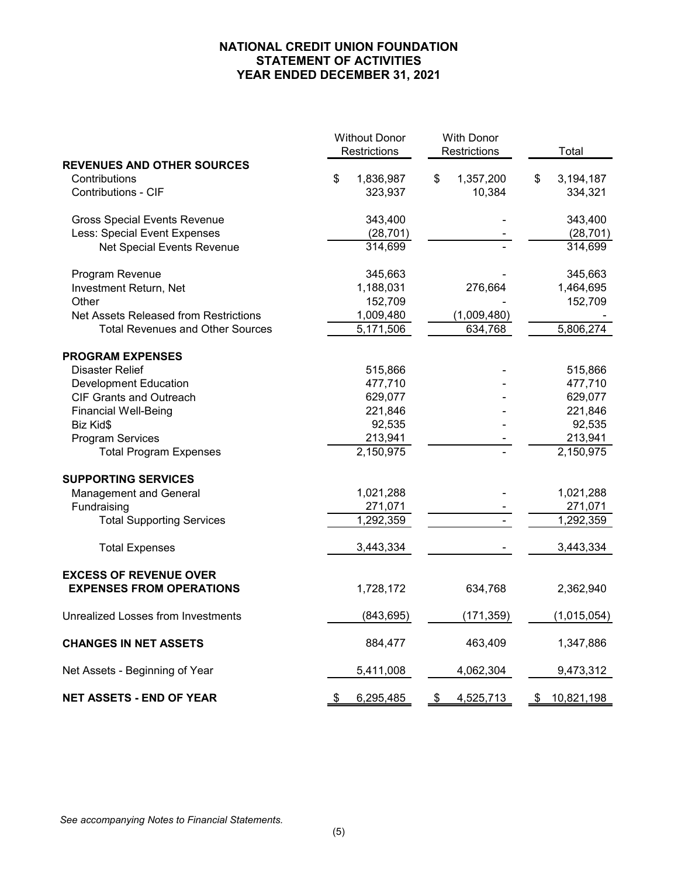## **NATIONAL CREDIT UNION FOUNDATION STATEMENT OF ACTIVITIES YEAR ENDED DECEMBER 31, 2021**

|                                         | <b>Without Donor</b><br>Restrictions | <b>With Donor</b><br>Restrictions | Total            |
|-----------------------------------------|--------------------------------------|-----------------------------------|------------------|
| <b>REVENUES AND OTHER SOURCES</b>       |                                      |                                   |                  |
| Contributions                           | \$<br>1,836,987                      | \$<br>1,357,200                   | \$<br>3,194,187  |
| <b>Contributions - CIF</b>              | 323,937                              | 10,384                            | 334,321          |
| <b>Gross Special Events Revenue</b>     | 343,400                              |                                   | 343,400          |
| Less: Special Event Expenses            | (28, 701)                            |                                   | (28, 701)        |
| Net Special Events Revenue              | 314,699                              |                                   | 314,699          |
| Program Revenue                         | 345,663                              |                                   | 345,663          |
| Investment Return, Net                  | 1,188,031                            | 276,664                           | 1,464,695        |
| Other                                   | 152,709                              |                                   | 152,709          |
| Net Assets Released from Restrictions   | 1,009,480                            | (1,009,480)                       |                  |
| <b>Total Revenues and Other Sources</b> | 5,171,506                            | 634,768                           | 5,806,274        |
| <b>PROGRAM EXPENSES</b>                 |                                      |                                   |                  |
| <b>Disaster Relief</b>                  | 515,866                              |                                   | 515,866          |
| Development Education                   | 477,710                              |                                   | 477,710          |
| <b>CIF Grants and Outreach</b>          | 629,077                              |                                   | 629,077          |
| <b>Financial Well-Being</b>             | 221,846                              |                                   | 221,846          |
| Biz Kid\$                               | 92,535                               |                                   | 92,535           |
| <b>Program Services</b>                 | 213,941                              |                                   | 213,941          |
| <b>Total Program Expenses</b>           | 2,150,975                            |                                   | 2,150,975        |
| <b>SUPPORTING SERVICES</b>              |                                      |                                   |                  |
| <b>Management and General</b>           | 1,021,288                            |                                   | 1,021,288        |
| Fundraising                             | 271,071                              |                                   | 271,071          |
| <b>Total Supporting Services</b>        | 1,292,359                            |                                   | 1,292,359        |
| <b>Total Expenses</b>                   | 3,443,334                            |                                   | 3,443,334        |
| <b>EXCESS OF REVENUE OVER</b>           |                                      |                                   |                  |
| <b>EXPENSES FROM OPERATIONS</b>         | 1,728,172                            | 634,768                           | 2,362,940        |
| Unrealized Losses from Investments      | (843, 695)                           | (171, 359)                        | (1,015,054)      |
| <b>CHANGES IN NET ASSETS</b>            | 884,477                              | 463,409                           | 1,347,886        |
| Net Assets - Beginning of Year          | 5,411,008                            | 4,062,304                         | 9,473,312        |
| <b>NET ASSETS - END OF YEAR</b>         | 6,295,485<br>S                       | 4,525,713<br>\$                   | 10,821,198<br>\$ |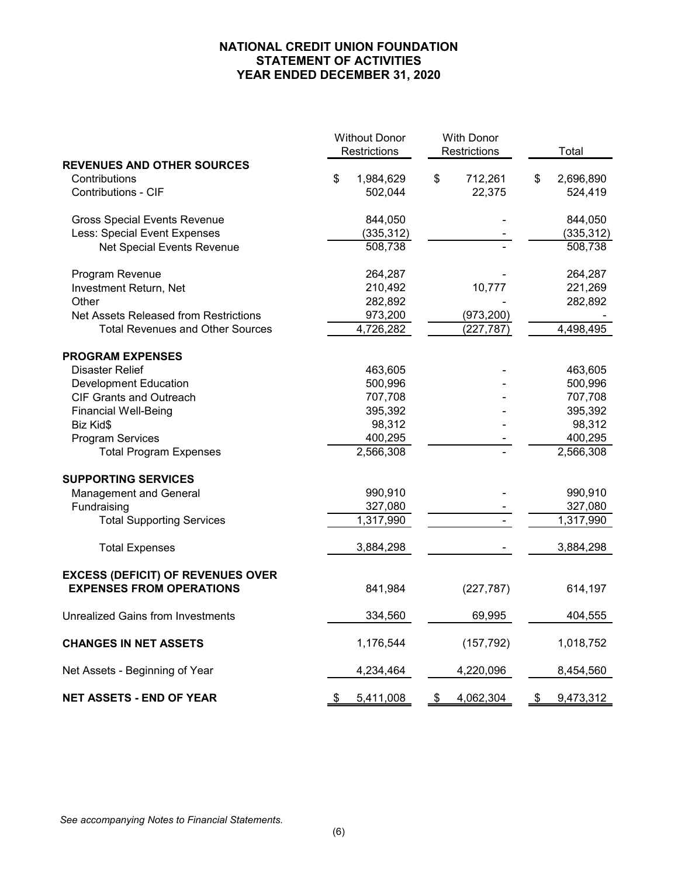## **NATIONAL CREDIT UNION FOUNDATION STATEMENT OF ACTIVITIES YEAR ENDED DECEMBER 31, 2020**

|                                          | <b>Without Donor</b><br>Restrictions | <b>With Donor</b><br>Restrictions | Total           |
|------------------------------------------|--------------------------------------|-----------------------------------|-----------------|
| <b>REVENUES AND OTHER SOURCES</b>        |                                      |                                   |                 |
| Contributions                            | \$<br>1,984,629                      | \$<br>712,261                     | \$<br>2,696,890 |
| <b>Contributions - CIF</b>               | 502,044                              | 22,375                            | 524,419         |
| <b>Gross Special Events Revenue</b>      | 844,050                              |                                   | 844,050         |
| Less: Special Event Expenses             | (335, 312)                           |                                   | (335, 312)      |
| Net Special Events Revenue               | 508,738                              |                                   | 508,738         |
| Program Revenue                          | 264,287                              |                                   | 264,287         |
| Investment Return, Net                   | 210,492                              | 10,777                            | 221,269         |
| Other                                    | 282,892                              |                                   | 282,892         |
| Net Assets Released from Restrictions    | 973,200                              | (973, 200)                        |                 |
| <b>Total Revenues and Other Sources</b>  | 4,726,282                            | (227, 787)                        | 4,498,495       |
| <b>PROGRAM EXPENSES</b>                  |                                      |                                   |                 |
| <b>Disaster Relief</b>                   | 463,605                              |                                   | 463,605         |
| <b>Development Education</b>             | 500,996                              |                                   | 500,996         |
| <b>CIF Grants and Outreach</b>           | 707,708                              |                                   | 707,708         |
| <b>Financial Well-Being</b>              | 395,392                              |                                   | 395,392         |
| Biz Kid\$                                | 98,312                               |                                   | 98,312          |
| <b>Program Services</b>                  | 400,295                              |                                   | 400,295         |
| <b>Total Program Expenses</b>            | 2,566,308                            |                                   | 2,566,308       |
| <b>SUPPORTING SERVICES</b>               |                                      |                                   |                 |
| <b>Management and General</b>            | 990,910                              |                                   | 990,910         |
| Fundraising                              | 327,080                              |                                   | 327,080         |
| <b>Total Supporting Services</b>         | 1,317,990                            |                                   | 1,317,990       |
| <b>Total Expenses</b>                    | 3,884,298                            |                                   | 3,884,298       |
| <b>EXCESS (DEFICIT) OF REVENUES OVER</b> |                                      |                                   |                 |
| <b>EXPENSES FROM OPERATIONS</b>          | 841,984                              | (227, 787)                        | 614,197         |
| <b>Unrealized Gains from Investments</b> | 334,560                              | 69,995                            | 404,555         |
| <b>CHANGES IN NET ASSETS</b>             | 1,176,544                            | (157, 792)                        | 1,018,752       |
| Net Assets - Beginning of Year           | 4,234,464                            | 4,220,096                         | 8,454,560       |
| <b>NET ASSETS - END OF YEAR</b>          | 5,411,008<br>S                       | 4,062,304<br>\$                   | 9,473,312<br>\$ |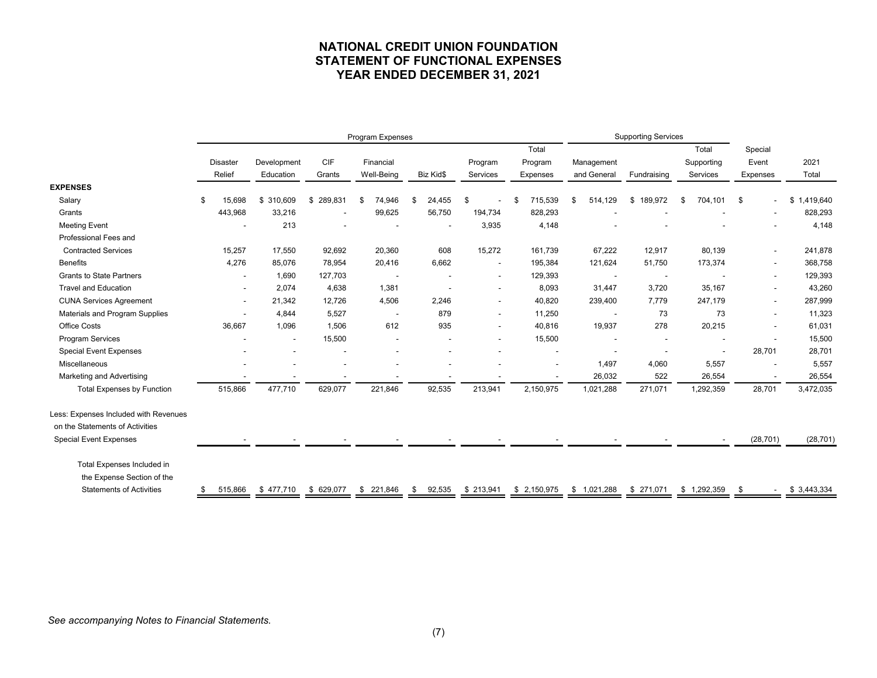### **NATIONAL CREDIT UNION FOUNDATION STATEMENT OF FUNCTIONAL EXPENSES YEAR ENDED DECEMBER 31, 2021**

|                                       | Program Expenses         |                          |            |                          | <b>Supporting Services</b> |                          |                 |               |                          |                          |                          |                 |
|---------------------------------------|--------------------------|--------------------------|------------|--------------------------|----------------------------|--------------------------|-----------------|---------------|--------------------------|--------------------------|--------------------------|-----------------|
|                                       |                          |                          |            |                          |                            |                          | Total           |               |                          | Total                    | Special                  |                 |
|                                       | <b>Disaster</b>          | Development              | <b>CIF</b> | Financial                |                            | Program                  | Program         | Management    |                          | Supporting               | Event                    | 2021            |
|                                       | Relief                   | Education                | Grants     | Well-Being               | Biz Kid\$                  | Services                 | Expenses        | and General   | Fundraising              | Services                 | Expenses                 | Total           |
| <b>EXPENSES</b>                       |                          |                          |            |                          |                            |                          |                 |               |                          |                          |                          |                 |
| Salary                                | 15.698<br>\$             | \$ 310,609               | \$ 289,831 | \$<br>74,946             | 24,455<br>-S               | \$                       | 715,539<br>\$   | \$<br>514,129 | \$<br>189,972            | \$<br>704,101            | - \$                     | 1,419,640<br>\$ |
| Grants                                | 443,968                  | 33,216                   |            | 99,625                   | 56,750                     | 194,734                  | 828,293         |               |                          |                          |                          | 828,293         |
| <b>Meeting Event</b>                  |                          | 213                      |            |                          |                            | 3,935                    | 4,148           |               |                          |                          |                          | 4,148           |
| Professional Fees and                 |                          |                          |            |                          |                            |                          |                 |               |                          |                          |                          |                 |
| <b>Contracted Services</b>            | 15,257                   | 17,550                   | 92,692     | 20,360                   | 608                        | 15,272                   | 161,739         | 67,222        | 12,917                   | 80,139                   |                          | 241,878         |
| <b>Benefits</b>                       | 4,276                    | 85,076                   | 78,954     | 20,416                   | 6,662                      | $\overline{\phantom{a}}$ | 195,384         | 121,624       | 51,750                   | 173,374                  | $\overline{\phantom{a}}$ | 368,758         |
| <b>Grants to State Partners</b>       |                          | 1,690                    | 127,703    |                          |                            | $\overline{\phantom{a}}$ | 129,393         |               | $\overline{\phantom{a}}$ |                          |                          | 129,393         |
| <b>Travel and Education</b>           | $\overline{\phantom{a}}$ | 2,074                    | 4,638      | 1,381                    |                            | $\overline{\phantom{a}}$ | 8,093           | 31,447        | 3,720                    | 35,167                   |                          | 43,260          |
| <b>CUNA Services Agreement</b>        | $\overline{\phantom{a}}$ | 21,342                   | 12,726     | 4,506                    | 2,246                      | $\sim$                   | 40,820          | 239,400       | 7,779                    | 247,179                  |                          | 287,999         |
| Materials and Program Supplies        |                          | 4,844                    | 5,527      | $\overline{\phantom{a}}$ | 879                        | $\sim$                   | 11,250          |               | 73                       | 73                       | $\overline{\phantom{a}}$ | 11,323          |
| Office Costs                          | 36,667                   | 1,096                    | 1,506      | 612                      | 935                        | $\overline{\phantom{a}}$ | 40,816          | 19,937        | 278                      | 20,215                   |                          | 61,031          |
| <b>Program Services</b>               |                          | $\overline{\phantom{a}}$ | 15,500     |                          |                            |                          | 15,500          |               | $\overline{\phantom{a}}$ | $\overline{\phantom{a}}$ |                          | 15,500          |
| <b>Special Event Expenses</b>         |                          |                          |            |                          |                            |                          |                 |               |                          |                          | 28,701                   | 28,701          |
| Miscellaneous                         |                          |                          |            |                          |                            |                          |                 | 1,497         | 4,060                    | 5,557                    |                          | 5,557           |
| Marketing and Advertising             |                          |                          |            |                          |                            |                          |                 | 26,032        | 522                      | 26,554                   |                          | 26,554          |
| <b>Total Expenses by Function</b>     | 515,866                  | 477,710                  | 629,077    | 221,846                  | 92,535                     | 213,941                  | 2,150,975       | 1,021,288     | 271,071                  | 1,292,359                | 28,701                   | 3,472,035       |
| Less: Expenses Included with Revenues |                          |                          |            |                          |                            |                          |                 |               |                          |                          |                          |                 |
| on the Statements of Activities       |                          |                          |            |                          |                            |                          |                 |               |                          |                          |                          |                 |
| <b>Special Event Expenses</b>         |                          |                          |            |                          |                            |                          |                 |               |                          |                          | (28, 701)                | (28, 701)       |
| Total Expenses Included in            |                          |                          |            |                          |                            |                          |                 |               |                          |                          |                          |                 |
| the Expense Section of the            |                          |                          |            |                          |                            |                          |                 |               |                          |                          |                          |                 |
| <b>Statements of Activities</b>       | 515.866<br>\$            | \$477,710                | \$ 629,077 | 221,846<br>\$            | \$<br>92.535               | \$213,941                | 2,150,975<br>\$ | \$1,021,288   | \$<br>271.071            | \$1,292,359              | \$                       | \$3,443,334     |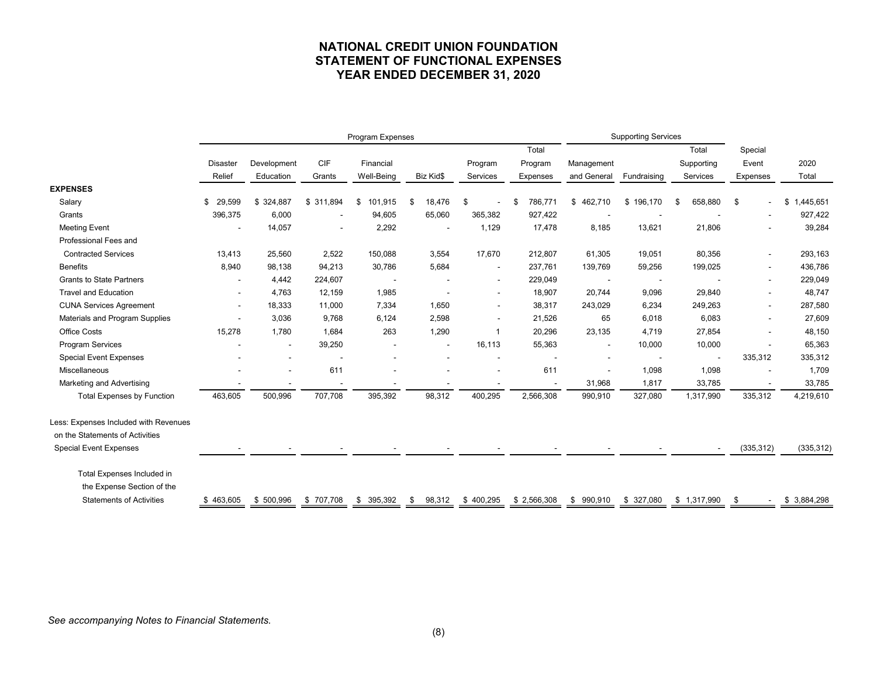### **NATIONAL CREDIT UNION FOUNDATION STATEMENT OF FUNCTIONAL EXPENSES YEAR ENDED DECEMBER 31, 2020**

|                                                                          | Program Expenses          |                          |                          |                         | <b>Supporting Services</b> |                          |                              |                           |             |                                 |                              |                 |
|--------------------------------------------------------------------------|---------------------------|--------------------------|--------------------------|-------------------------|----------------------------|--------------------------|------------------------------|---------------------------|-------------|---------------------------------|------------------------------|-----------------|
|                                                                          | <b>Disaster</b><br>Relief | Development<br>Education | <b>CIF</b><br>Grants     | Financial<br>Well-Being | Biz Kid\$                  | Program<br>Services      | Total<br>Program<br>Expenses | Management<br>and General | Fundraising | Total<br>Supporting<br>Services | Special<br>Event<br>Expenses | 2020<br>Total   |
| <b>EXPENSES</b>                                                          |                           |                          |                          |                         |                            |                          |                              |                           |             |                                 |                              |                 |
| Salary                                                                   | 29.599<br>\$              | \$324,887                | \$ 311,894               | 101,915<br>\$           | 18,476<br>\$.              | \$                       | 786,771<br>-S                | \$<br>462,710             | \$196,170   | 658,880<br>£.                   | \$                           | 1,445,651<br>\$ |
| Grants                                                                   | 396,375                   | 6,000                    |                          | 94,605                  | 65,060                     | 365,382                  | 927,422                      |                           |             |                                 |                              | 927,422         |
| <b>Meeting Event</b>                                                     |                           | 14,057                   |                          | 2,292                   |                            | 1,129                    | 17,478                       | 8,185                     | 13,621      | 21,806                          |                              | 39,284          |
| Professional Fees and                                                    |                           |                          |                          |                         |                            |                          |                              |                           |             |                                 |                              |                 |
| <b>Contracted Services</b>                                               | 13,413                    | 25,560                   | 2,522                    | 150,088                 | 3,554                      | 17,670                   | 212,807                      | 61,305                    | 19,051      | 80,356                          | $\blacksquare$               | 293,163         |
| <b>Benefits</b>                                                          | 8,940                     | 98,138                   | 94,213                   | 30,786                  | 5,684                      | $\overline{\phantom{a}}$ | 237,761                      | 139,769                   | 59,256      | 199,025                         | $\overline{\phantom{a}}$     | 436,786         |
| <b>Grants to State Partners</b>                                          | $\blacksquare$            | 4,442                    | 224,607                  | $\blacksquare$          |                            | $\overline{\phantom{a}}$ | 229,049                      | $\overline{\phantom{a}}$  |             |                                 | $\blacksquare$               | 229,049         |
| <b>Travel and Education</b>                                              | $\overline{\phantom{a}}$  | 4,763                    | 12,159                   | 1,985                   |                            | $\overline{\phantom{a}}$ | 18,907                       | 20,744                    | 9,096       | 29,840                          |                              | 48,747          |
| <b>CUNA Services Agreement</b>                                           | $\overline{\phantom{a}}$  | 18,333                   | 11,000                   | 7,334                   | 1,650                      | $\overline{\phantom{a}}$ | 38,317                       | 243,029                   | 6,234       | 249,263                         | $\blacksquare$               | 287,580         |
| Materials and Program Supplies                                           |                           | 3,036                    | 9,768                    | 6,124                   | 2,598                      | $\overline{\phantom{a}}$ | 21,526                       | 65                        | 6,018       | 6,083                           | $\overline{\phantom{a}}$     | 27,609          |
| Office Costs                                                             | 15,278                    | 1,780                    | 1,684                    | 263                     | 1,290                      |                          | 20,296                       | 23,135                    | 4,719       | 27,854                          |                              | 48,150          |
| <b>Program Services</b>                                                  |                           | $\overline{\phantom{a}}$ | 39,250                   | ٠                       | $\overline{\phantom{a}}$   | 16,113                   | 55,363                       | $\overline{\phantom{a}}$  | 10,000      | 10,000                          | $\blacksquare$               | 65,363          |
| <b>Special Event Expenses</b>                                            |                           |                          |                          |                         |                            |                          |                              |                           |             |                                 | 335,312                      | 335,312         |
| <b>Miscellaneous</b>                                                     |                           |                          | 611                      |                         |                            |                          | 611                          |                           | 1,098       | 1,098                           |                              | 1,709           |
| Marketing and Advertising                                                | $\overline{\phantom{a}}$  |                          | $\overline{\phantom{a}}$ |                         | $\overline{\phantom{a}}$   |                          | $\overline{\phantom{a}}$     | 31,968                    | 1,817       | 33,785                          |                              | 33,785          |
| <b>Total Expenses by Function</b>                                        | 463,605                   | 500,996                  | 707,708                  | 395,392                 | 98,312                     | 400,295                  | 2,566,308                    | 990,910                   | 327,080     | 1,317,990                       | 335,312                      | 4,219,610       |
| Less: Expenses Included with Revenues<br>on the Statements of Activities |                           |                          |                          |                         |                            |                          |                              |                           |             |                                 |                              |                 |
| <b>Special Event Expenses</b>                                            |                           |                          |                          |                         |                            |                          |                              |                           |             |                                 | (335, 312)                   | (335, 312)      |
| Total Expenses Included in<br>the Expense Section of the                 |                           |                          |                          |                         |                            |                          |                              |                           |             |                                 |                              |                 |
| <b>Statements of Activities</b>                                          | \$463,605                 | \$500,996                | \$707,708                | \$ 395,392              | 98,312<br>-\$              | \$400,295                | \$2,566,308                  | \$990,910                 | \$ 327,080  | \$1,317,990                     | \$                           | \$3,884,298     |

*See accompanying Notes to Financial Statements.*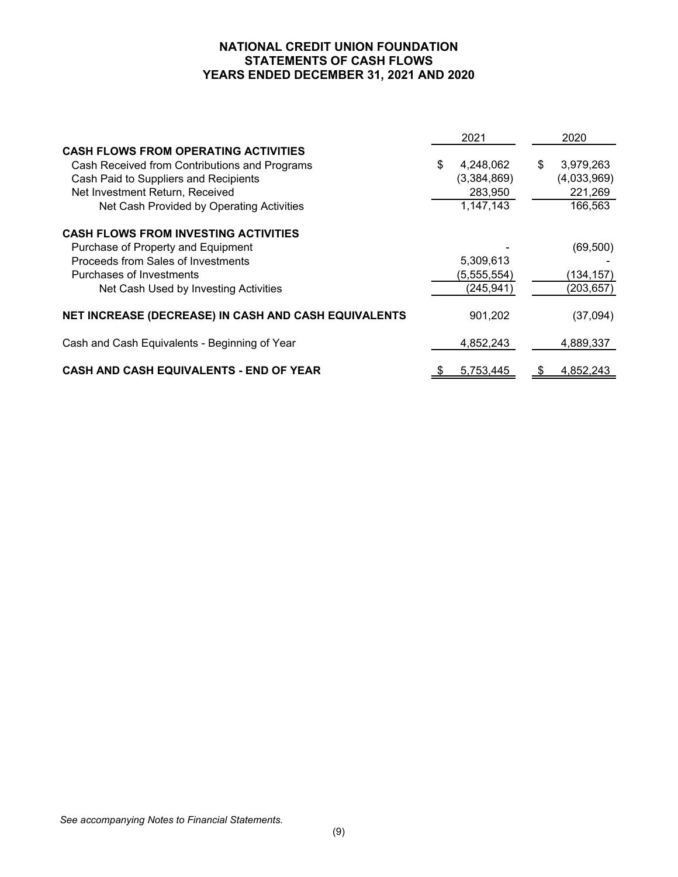## **NATIONAL CREDIT UNION FOUNDATION STATEMENTS OF CASH FLOWS YEARS ENDED DECEMBER 31, 2021 AND 2020**

|                                                      |     | 2021        | 2020            |
|------------------------------------------------------|-----|-------------|-----------------|
| <b>CASH FLOWS FROM OPERATING ACTIVITIES</b>          |     |             |                 |
| Cash Received from Contributions and Programs        | \$. | 4,248,062   | \$<br>3,979,263 |
| Cash Paid to Suppliers and Recipients                |     | (3,384,869) | (4,033,969)     |
| Net Investment Return, Received                      |     | 283,950     | 221,269         |
| Net Cash Provided by Operating Activities            |     | 1,147,143   | 166,563         |
| <b>CASH FLOWS FROM INVESTING ACTIVITIES</b>          |     |             |                 |
| Purchase of Property and Equipment                   |     |             | (69, 500)       |
| Proceeds from Sales of Investments                   |     | 5,309,613   |                 |
| Purchases of Investments                             |     | (5,555,554) | (134, 157)      |
| Net Cash Used by Investing Activities                |     | (245, 941)  | (203, 657)      |
| NET INCREASE (DECREASE) IN CASH AND CASH EQUIVALENTS |     | 901,202     | (37,094)        |
| Cash and Cash Equivalents - Beginning of Year        |     | 4,852,243   | 4,889,337       |
| CASH AND CASH EQUIVALENTS - END OF YEAR              |     | 5,753,445   | 4,852,243       |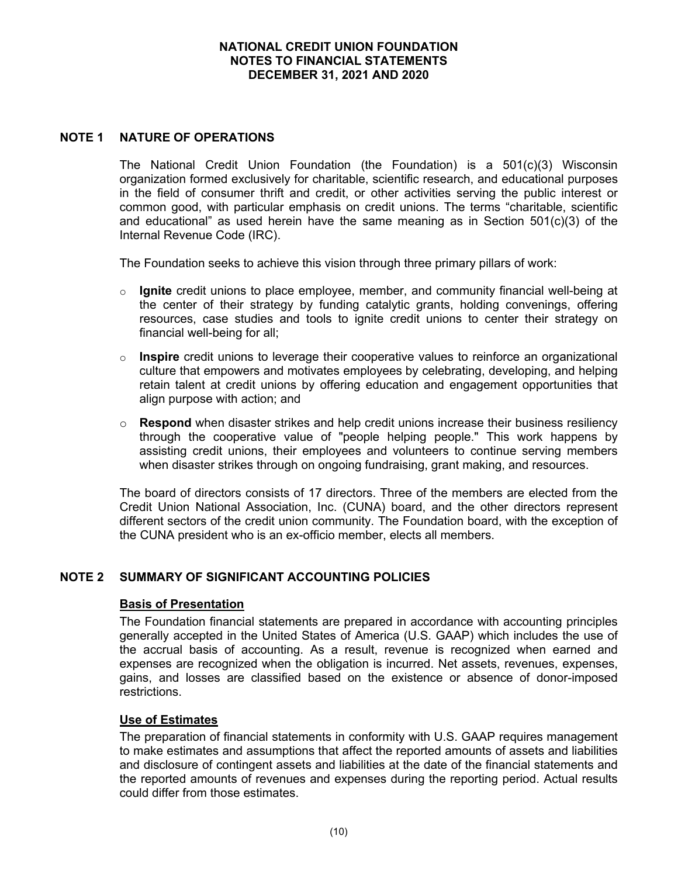### **NOTE 1 NATURE OF OPERATIONS**

The National Credit Union Foundation (the Foundation) is a 501(c)(3) Wisconsin organization formed exclusively for charitable, scientific research, and educational purposes in the field of consumer thrift and credit, or other activities serving the public interest or common good, with particular emphasis on credit unions. The terms "charitable, scientific and educational" as used herein have the same meaning as in Section 501(c)(3) of the Internal Revenue Code (IRC).

The Foundation seeks to achieve this vision through three primary pillars of work:

- o **Ignite** credit unions to place employee, member, and community financial well-being at the center of their strategy by funding catalytic grants, holding convenings, offering resources, case studies and tools to ignite credit unions to center their strategy on financial well-being for all;
- o **Inspire** credit unions to leverage their cooperative values to reinforce an organizational culture that empowers and motivates employees by celebrating, developing, and helping retain talent at credit unions by offering education and engagement opportunities that align purpose with action; and
- o **Respond** when disaster strikes and help credit unions increase their business resiliency through the cooperative value of "people helping people." This work happens by assisting credit unions, their employees and volunteers to continue serving members when disaster strikes through on ongoing fundraising, grant making, and resources.

The board of directors consists of 17 directors. Three of the members are elected from the Credit Union National Association, Inc. (CUNA) board, and the other directors represent different sectors of the credit union community. The Foundation board, with the exception of the CUNA president who is an ex-officio member, elects all members.

#### **NOTE 2 SUMMARY OF SIGNIFICANT ACCOUNTING POLICIES**

#### **Basis of Presentation**

The Foundation financial statements are prepared in accordance with accounting principles generally accepted in the United States of America (U.S. GAAP) which includes the use of the accrual basis of accounting. As a result, revenue is recognized when earned and expenses are recognized when the obligation is incurred. Net assets, revenues, expenses, gains, and losses are classified based on the existence or absence of donor-imposed restrictions.

#### **Use of Estimates**

The preparation of financial statements in conformity with U.S. GAAP requires management to make estimates and assumptions that affect the reported amounts of assets and liabilities and disclosure of contingent assets and liabilities at the date of the financial statements and the reported amounts of revenues and expenses during the reporting period. Actual results could differ from those estimates.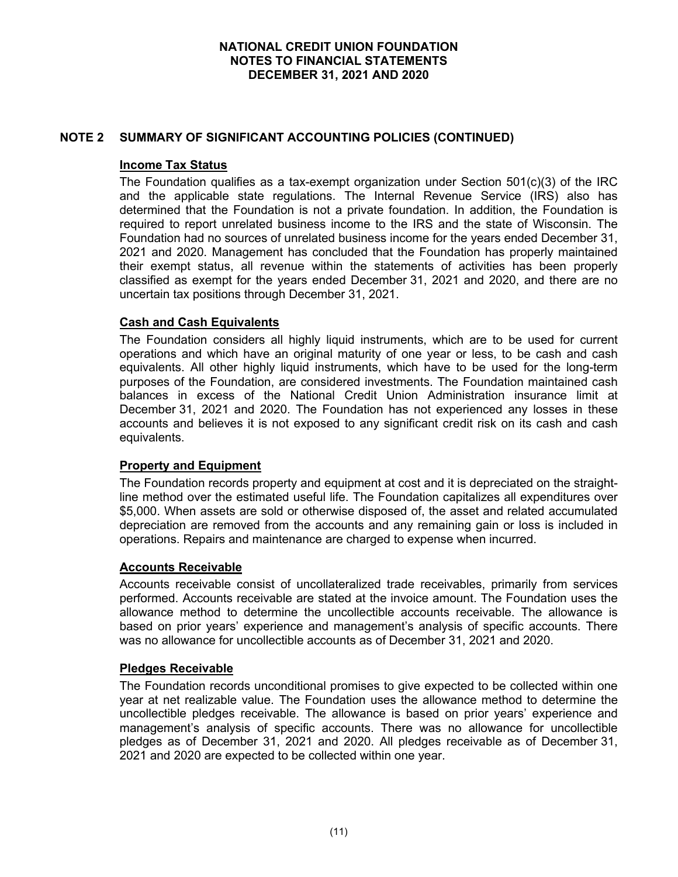### **NOTE 2 SUMMARY OF SIGNIFICANT ACCOUNTING POLICIES (CONTINUED)**

#### **Income Tax Status**

The Foundation qualifies as a tax-exempt organization under Section 501(c)(3) of the IRC and the applicable state regulations. The Internal Revenue Service (IRS) also has determined that the Foundation is not a private foundation. In addition, the Foundation is required to report unrelated business income to the IRS and the state of Wisconsin. The Foundation had no sources of unrelated business income for the years ended December 31, 2021 and 2020. Management has concluded that the Foundation has properly maintained their exempt status, all revenue within the statements of activities has been properly classified as exempt for the years ended December 31, 2021 and 2020, and there are no uncertain tax positions through December 31, 2021.

### **Cash and Cash Equivalents**

The Foundation considers all highly liquid instruments, which are to be used for current operations and which have an original maturity of one year or less, to be cash and cash equivalents. All other highly liquid instruments, which have to be used for the long-term purposes of the Foundation, are considered investments. The Foundation maintained cash balances in excess of the National Credit Union Administration insurance limit at December 31, 2021 and 2020. The Foundation has not experienced any losses in these accounts and believes it is not exposed to any significant credit risk on its cash and cash equivalents.

#### **Property and Equipment**

The Foundation records property and equipment at cost and it is depreciated on the straightline method over the estimated useful life. The Foundation capitalizes all expenditures over \$5,000. When assets are sold or otherwise disposed of, the asset and related accumulated depreciation are removed from the accounts and any remaining gain or loss is included in operations. Repairs and maintenance are charged to expense when incurred.

#### **Accounts Receivable**

Accounts receivable consist of uncollateralized trade receivables, primarily from services performed. Accounts receivable are stated at the invoice amount. The Foundation uses the allowance method to determine the uncollectible accounts receivable. The allowance is based on prior years' experience and management's analysis of specific accounts. There was no allowance for uncollectible accounts as of December 31, 2021 and 2020.

#### **Pledges Receivable**

The Foundation records unconditional promises to give expected to be collected within one year at net realizable value. The Foundation uses the allowance method to determine the uncollectible pledges receivable. The allowance is based on prior years' experience and management's analysis of specific accounts. There was no allowance for uncollectible pledges as of December 31, 2021 and 2020. All pledges receivable as of December 31, 2021 and 2020 are expected to be collected within one year.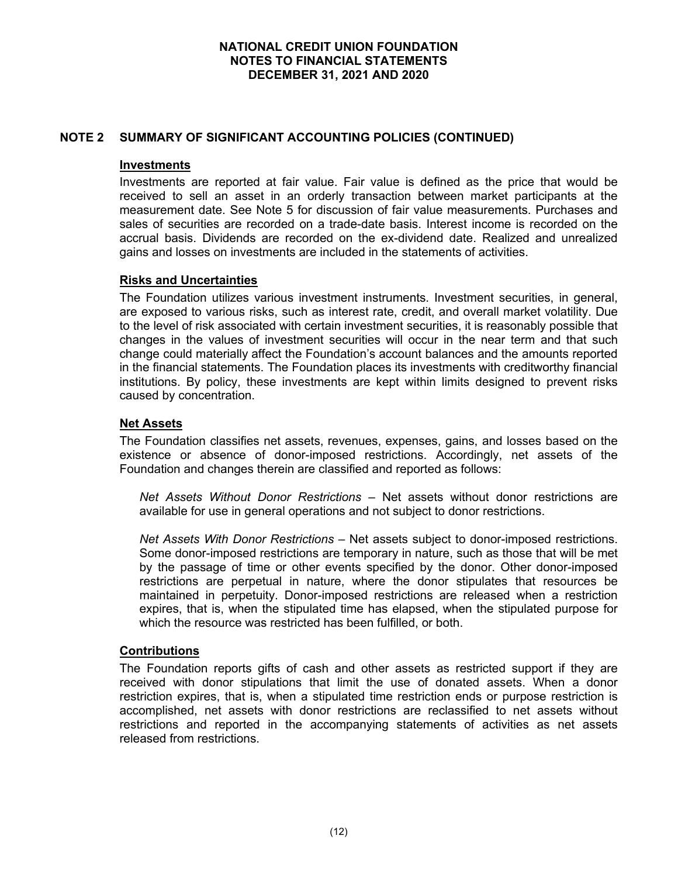## **NOTE 2 SUMMARY OF SIGNIFICANT ACCOUNTING POLICIES (CONTINUED)**

### **Investments**

Investments are reported at fair value. Fair value is defined as the price that would be received to sell an asset in an orderly transaction between market participants at the measurement date. See Note 5 for discussion of fair value measurements. Purchases and sales of securities are recorded on a trade-date basis. Interest income is recorded on the accrual basis. Dividends are recorded on the ex-dividend date. Realized and unrealized gains and losses on investments are included in the statements of activities.

## **Risks and Uncertainties**

The Foundation utilizes various investment instruments. Investment securities, in general, are exposed to various risks, such as interest rate, credit, and overall market volatility. Due to the level of risk associated with certain investment securities, it is reasonably possible that changes in the values of investment securities will occur in the near term and that such change could materially affect the Foundation's account balances and the amounts reported in the financial statements. The Foundation places its investments with creditworthy financial institutions. By policy, these investments are kept within limits designed to prevent risks caused by concentration.

## **Net Assets**

The Foundation classifies net assets, revenues, expenses, gains, and losses based on the existence or absence of donor-imposed restrictions. Accordingly, net assets of the Foundation and changes therein are classified and reported as follows:

*Net Assets Without Donor Restrictions* – Net assets without donor restrictions are available for use in general operations and not subject to donor restrictions.

*Net Assets With Donor Restrictions* – Net assets subject to donor-imposed restrictions. Some donor-imposed restrictions are temporary in nature, such as those that will be met by the passage of time or other events specified by the donor. Other donor-imposed restrictions are perpetual in nature, where the donor stipulates that resources be maintained in perpetuity. Donor-imposed restrictions are released when a restriction expires, that is, when the stipulated time has elapsed, when the stipulated purpose for which the resource was restricted has been fulfilled, or both.

## **Contributions**

The Foundation reports gifts of cash and other assets as restricted support if they are received with donor stipulations that limit the use of donated assets. When a donor restriction expires, that is, when a stipulated time restriction ends or purpose restriction is accomplished, net assets with donor restrictions are reclassified to net assets without restrictions and reported in the accompanying statements of activities as net assets released from restrictions.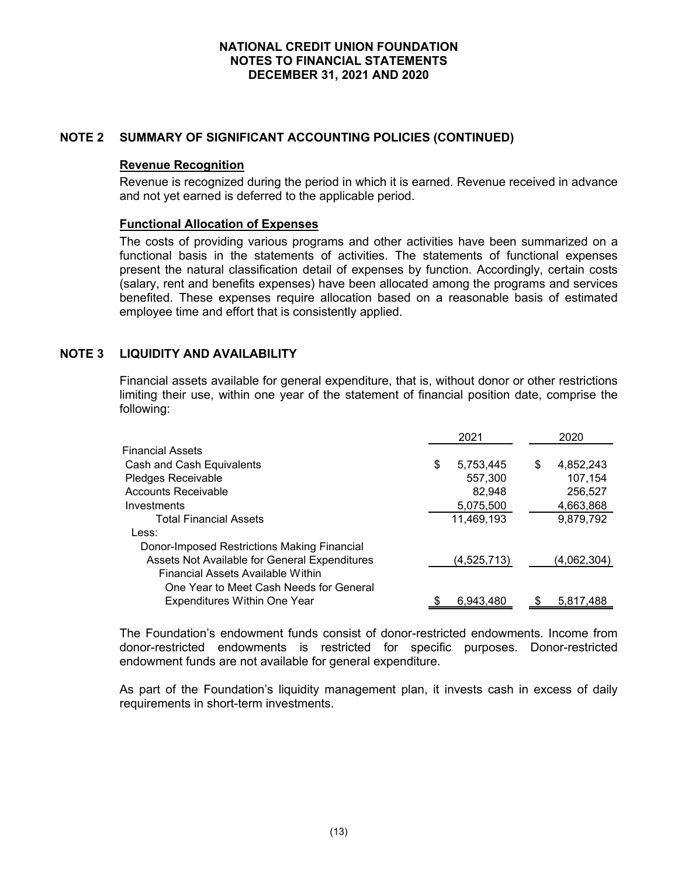### **NOTE 2 SUMMARY OF SIGNIFICANT ACCOUNTING POLICIES (CONTINUED)**

#### **Revenue Recognition**

Revenue is recognized during the period in which it is earned. Revenue received in advance and not yet earned is deferred to the applicable period.

### **Functional Allocation of Expenses**

The costs of providing various programs and other activities have been summarized on a functional basis in the statements of activities. The statements of functional expenses present the natural classification detail of expenses by function. Accordingly, certain costs (salary, rent and benefits expenses) have been allocated among the programs and services benefited. These expenses require allocation based on a reasonable basis of estimated employee time and effort that is consistently applied.

## **NOTE 3 LIQUIDITY AND AVAILABILITY**

Financial assets available for general expenditure, that is, without donor or other restrictions limiting their use, within one year of the statement of financial position date, comprise the following:

|                                               |   | 2021          |   | 2020        |
|-----------------------------------------------|---|---------------|---|-------------|
| Financial Assets                              |   |               |   |             |
| Cash and Cash Equivalents                     | S | 5,753,445     | S | 4,852,243   |
| Pledges Receivable                            |   | 557,300       |   | 107,154     |
| Accounts Receivable                           |   | 82,948        |   | 256,527     |
| Investments                                   |   | 5,075,500     |   | 4,663,868   |
| <b>Total Financial Assets</b>                 |   | 11,469,193    |   | 9,879,792   |
| Less:                                         |   |               |   |             |
| Donor-Imposed Restrictions Making Financial   |   |               |   |             |
| Assets Not Available for General Expenditures |   | (4, 525, 713) |   | (4,062,304) |
| Financial Assets Available Within             |   |               |   |             |
| One Year to Meet Cash Needs for General       |   |               |   |             |
| <b>Expenditures Within One Year</b>           |   | 6,943,480     |   | 5,817,488   |
|                                               |   |               |   |             |

The Foundation's endowment funds consist of donor-restricted endowments. Income from donor-restricted endowments is restricted for specific purposes. Donor-restricted endowment funds are not available for general expenditure.

As part of the Foundation's liquidity management plan, it invests cash in excess of daily requirements in short-term investments.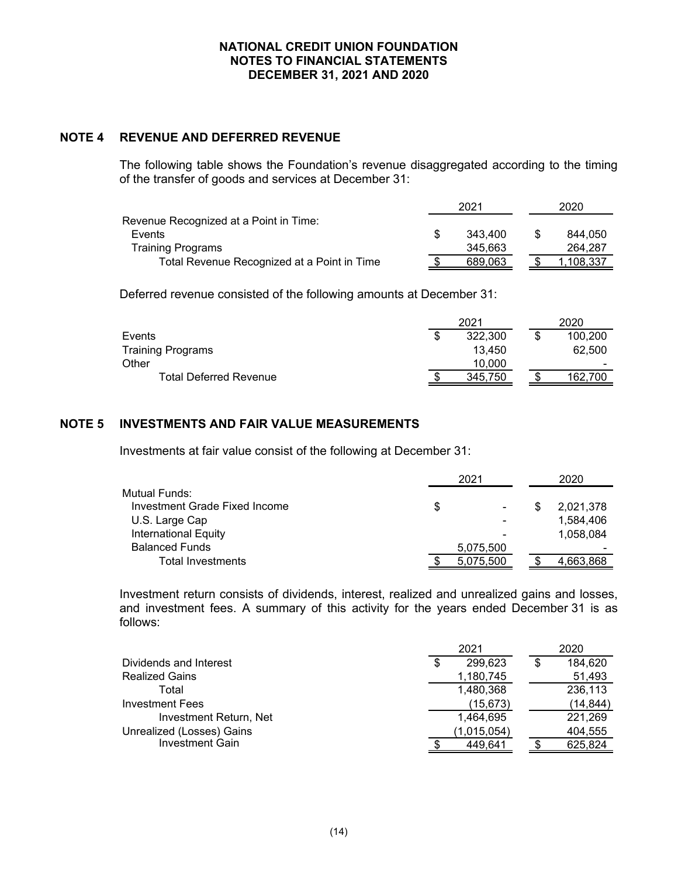### **NOTE 4 REVENUE AND DEFERRED REVENUE**

The following table shows the Foundation's revenue disaggregated according to the timing of the transfer of goods and services at December 31:

|                                             | 2021 |         |  | 2020     |
|---------------------------------------------|------|---------|--|----------|
| Revenue Recognized at a Point in Time:      |      |         |  |          |
| Events                                      |      | 343.400 |  | 844.050  |
| Training Programs                           |      | 345.663 |  | 264.287  |
| Total Revenue Recognized at a Point in Time |      | 689.063 |  | .108.337 |

Deferred revenue consisted of the following amounts at December 31:

|                          | 2021 |         |   | 2020    |  |
|--------------------------|------|---------|---|---------|--|
| Events                   |      | 322,300 | σ | 100.200 |  |
| <b>Training Programs</b> |      | 13.450  |   | 62,500  |  |
| Other                    |      | 10.000  |   | -       |  |
| Total Deferred Revenue   |      | 345.750 |   | 162.700 |  |

## **NOTE 5 INVESTMENTS AND FAIR VALUE MEASUREMENTS**

Investments at fair value consist of the following at December 31:

|                               | 2021                     |  |           |
|-------------------------------|--------------------------|--|-----------|
| Mutual Funds:                 |                          |  |           |
| Investment Grade Fixed Income | \$                       |  | 2,021,378 |
| U.S. Large Cap                | $\overline{\phantom{0}}$ |  | 1,584,406 |
| <b>International Equity</b>   |                          |  | 1,058,084 |
| <b>Balanced Funds</b>         | 5,075,500                |  |           |
| Total Investments             | 5,075,500                |  | 4,663,868 |
|                               |                          |  |           |

Investment return consists of dividends, interest, realized and unrealized gains and losses, and investment fees. A summary of this activity for the years ended December 31 is as follows:

|                           | 2021          | 2020     |  |  |
|---------------------------|---------------|----------|--|--|
| Dividends and Interest    | 299,623<br>\$ | 184,620  |  |  |
| <b>Realized Gains</b>     | 1,180,745     | 51,493   |  |  |
| Total                     | 1,480,368     | 236,113  |  |  |
| Investment Fees           | (15, 673)     | (14,844) |  |  |
| Investment Return, Net    | 1,464,695     | 221,269  |  |  |
| Unrealized (Losses) Gains | (1,015,054)   | 404,555  |  |  |
| <b>Investment Gain</b>    | 449.641       | 625,824  |  |  |
|                           |               |          |  |  |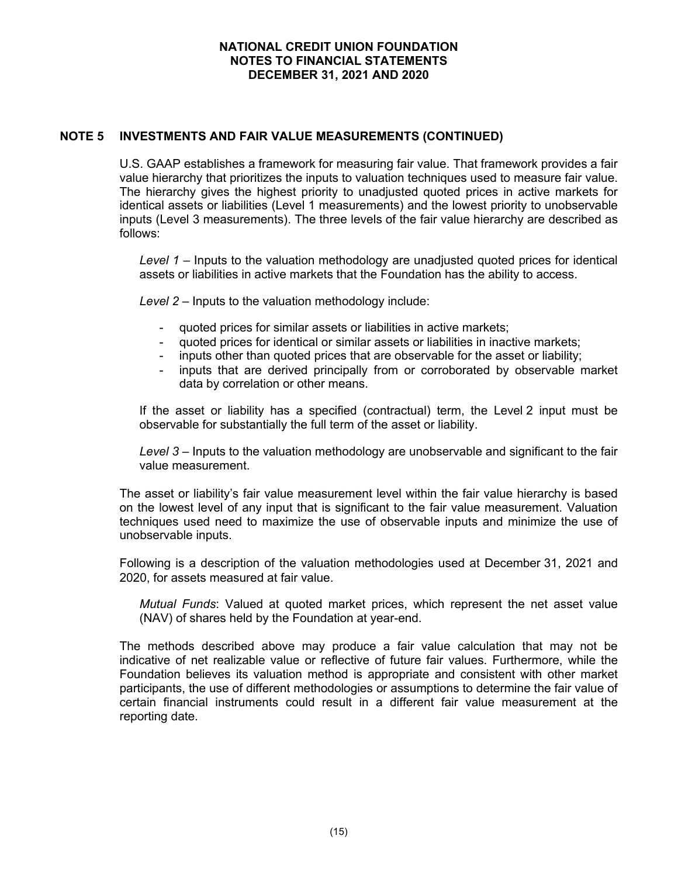## **NOTE 5 INVESTMENTS AND FAIR VALUE MEASUREMENTS (CONTINUED)**

U.S. GAAP establishes a framework for measuring fair value. That framework provides a fair value hierarchy that prioritizes the inputs to valuation techniques used to measure fair value. The hierarchy gives the highest priority to unadjusted quoted prices in active markets for identical assets or liabilities (Level 1 measurements) and the lowest priority to unobservable inputs (Level 3 measurements). The three levels of the fair value hierarchy are described as follows:

*Level 1* – Inputs to the valuation methodology are unadjusted quoted prices for identical assets or liabilities in active markets that the Foundation has the ability to access.

*Level 2* – Inputs to the valuation methodology include:

- quoted prices for similar assets or liabilities in active markets;
- quoted prices for identical or similar assets or liabilities in inactive markets;
- inputs other than quoted prices that are observable for the asset or liability;
- inputs that are derived principally from or corroborated by observable market data by correlation or other means.

If the asset or liability has a specified (contractual) term, the Level 2 input must be observable for substantially the full term of the asset or liability.

*Level 3* – Inputs to the valuation methodology are unobservable and significant to the fair value measurement.

The asset or liability's fair value measurement level within the fair value hierarchy is based on the lowest level of any input that is significant to the fair value measurement. Valuation techniques used need to maximize the use of observable inputs and minimize the use of unobservable inputs.

Following is a description of the valuation methodologies used at December 31, 2021 and 2020, for assets measured at fair value.

*Mutual Funds*: Valued at quoted market prices, which represent the net asset value (NAV) of shares held by the Foundation at year-end.

The methods described above may produce a fair value calculation that may not be indicative of net realizable value or reflective of future fair values. Furthermore, while the Foundation believes its valuation method is appropriate and consistent with other market participants, the use of different methodologies or assumptions to determine the fair value of certain financial instruments could result in a different fair value measurement at the reporting date.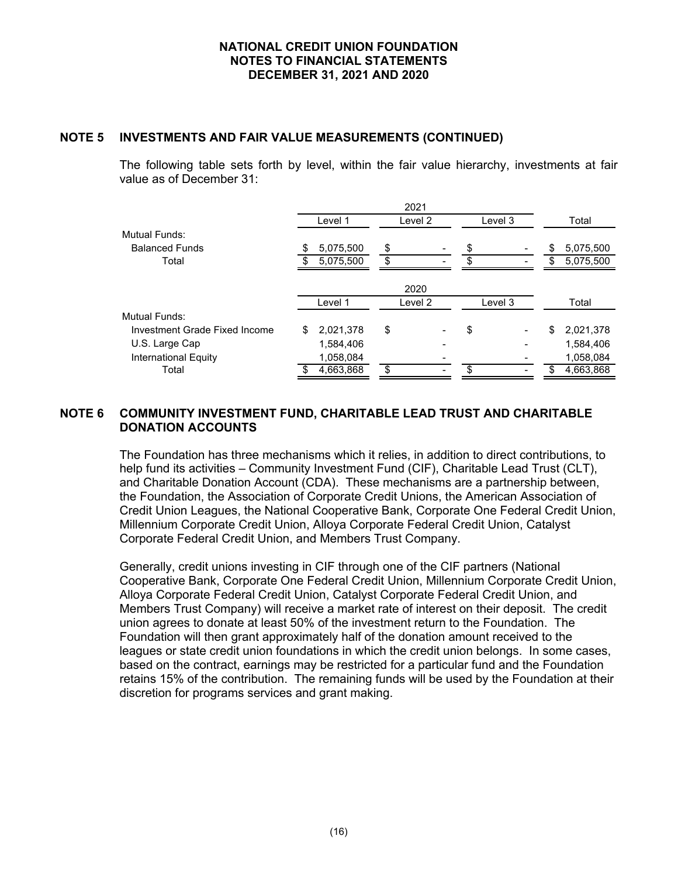#### **NOTE 5 INVESTMENTS AND FAIR VALUE MEASUREMENTS (CONTINUED)**

The following table sets forth by level, within the fair value hierarchy, investments at fair value as of December 31:

|                               |                 | 2021                           |         |    |           |
|-------------------------------|-----------------|--------------------------------|---------|----|-----------|
|                               | Level 1         | Level 2                        | Level 3 |    | Total     |
| Mutual Funds:                 |                 |                                |         |    |           |
| <b>Balanced Funds</b>         | 5,075,500       | \$                             | \$      | S  | 5,075,500 |
| Total                         | 5.075.500       | \$<br>$\overline{\phantom{a}}$ | \$      | \$ | 5,075,500 |
|                               |                 | 2020                           |         |    |           |
|                               | Level 1         | Level 2                        | Level 3 |    | Total     |
| Mutual Funds:                 |                 |                                |         |    |           |
| Investment Grade Fixed Income | \$<br>2,021,378 | \$                             | \$      | \$ | 2,021,378 |
| U.S. Large Cap                | 1,584,406       |                                |         |    | 1,584,406 |
| International Equity          | 1,058,084       |                                |         |    | 1,058,084 |
| Total                         | 4,663,868       | \$                             | \$      |    | 4,663,868 |

## **NOTE 6 COMMUNITY INVESTMENT FUND, CHARITABLE LEAD TRUST AND CHARITABLE DONATION ACCOUNTS**

The Foundation has three mechanisms which it relies, in addition to direct contributions, to help fund its activities – Community Investment Fund (CIF), Charitable Lead Trust (CLT), and Charitable Donation Account (CDA). These mechanisms are a partnership between, the Foundation, the Association of Corporate Credit Unions, the American Association of Credit Union Leagues, the National Cooperative Bank, Corporate One Federal Credit Union, Millennium Corporate Credit Union, Alloya Corporate Federal Credit Union, Catalyst Corporate Federal Credit Union, and Members Trust Company.

Generally, credit unions investing in CIF through one of the CIF partners (National Cooperative Bank, Corporate One Federal Credit Union, Millennium Corporate Credit Union, Alloya Corporate Federal Credit Union, Catalyst Corporate Federal Credit Union, and Members Trust Company) will receive a market rate of interest on their deposit. The credit union agrees to donate at least 50% of the investment return to the Foundation. The Foundation will then grant approximately half of the donation amount received to the leagues or state credit union foundations in which the credit union belongs. In some cases, based on the contract, earnings may be restricted for a particular fund and the Foundation retains 15% of the contribution. The remaining funds will be used by the Foundation at their discretion for programs services and grant making.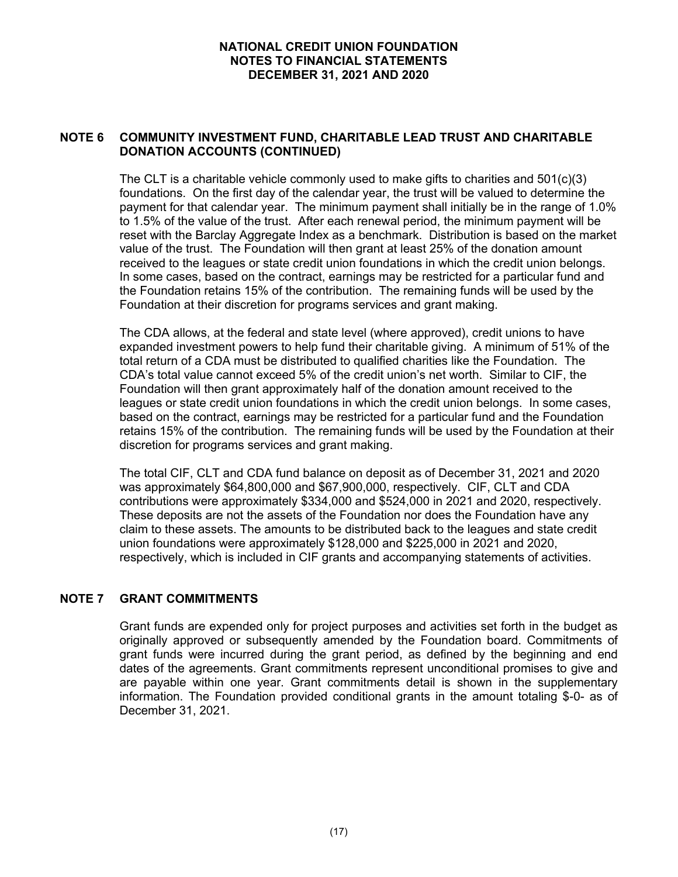## **NOTE 6 COMMUNITY INVESTMENT FUND, CHARITABLE LEAD TRUST AND CHARITABLE DONATION ACCOUNTS (CONTINUED)**

The CLT is a charitable vehicle commonly used to make gifts to charities and  $501(c)(3)$ foundations. On the first day of the calendar year, the trust will be valued to determine the payment for that calendar year. The minimum payment shall initially be in the range of 1.0% to 1.5% of the value of the trust. After each renewal period, the minimum payment will be reset with the Barclay Aggregate Index as a benchmark. Distribution is based on the market value of the trust. The Foundation will then grant at least 25% of the donation amount received to the leagues or state credit union foundations in which the credit union belongs. In some cases, based on the contract, earnings may be restricted for a particular fund and the Foundation retains 15% of the contribution. The remaining funds will be used by the Foundation at their discretion for programs services and grant making.

The CDA allows, at the federal and state level (where approved), credit unions to have expanded investment powers to help fund their charitable giving. A minimum of 51% of the total return of a CDA must be distributed to qualified charities like the Foundation. The CDA's total value cannot exceed 5% of the credit union's net worth. Similar to CIF, the Foundation will then grant approximately half of the donation amount received to the leagues or state credit union foundations in which the credit union belongs. In some cases, based on the contract, earnings may be restricted for a particular fund and the Foundation retains 15% of the contribution. The remaining funds will be used by the Foundation at their discretion for programs services and grant making.

The total CIF, CLT and CDA fund balance on deposit as of December 31, 2021 and 2020 was approximately \$64,800,000 and \$67,900,000, respectively. CIF, CLT and CDA contributions were approximately \$334,000 and \$524,000 in 2021 and 2020, respectively. These deposits are not the assets of the Foundation nor does the Foundation have any claim to these assets. The amounts to be distributed back to the leagues and state credit union foundations were approximately \$128,000 and \$225,000 in 2021 and 2020, respectively, which is included in CIF grants and accompanying statements of activities.

## **NOTE 7 GRANT COMMITMENTS**

Grant funds are expended only for project purposes and activities set forth in the budget as originally approved or subsequently amended by the Foundation board. Commitments of grant funds were incurred during the grant period, as defined by the beginning and end dates of the agreements. Grant commitments represent unconditional promises to give and are payable within one year. Grant commitments detail is shown in the supplementary information. The Foundation provided conditional grants in the amount totaling \$-0- as of December 31, 2021.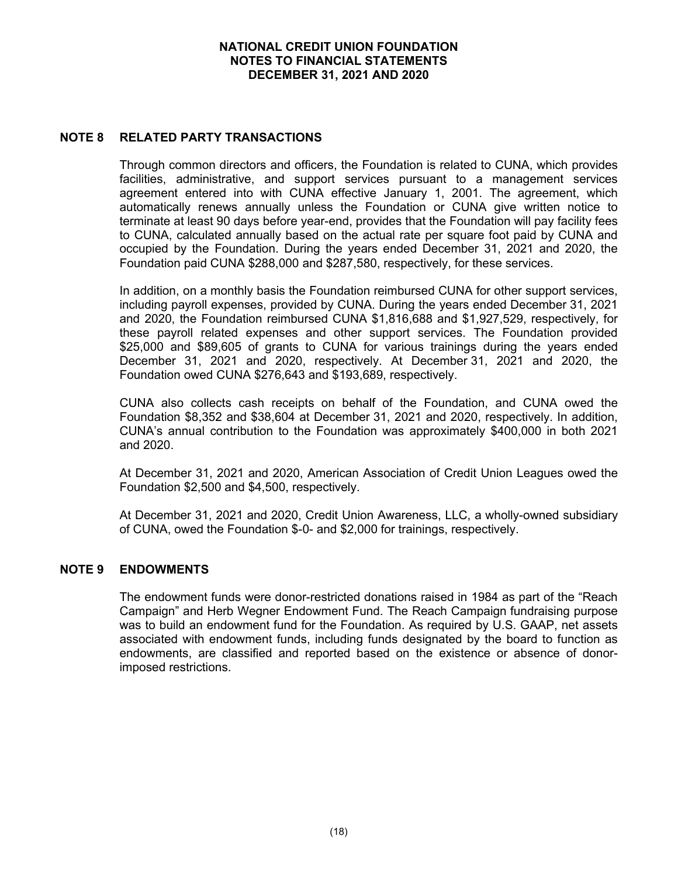### **NOTE 8 RELATED PARTY TRANSACTIONS**

Through common directors and officers, the Foundation is related to CUNA, which provides facilities, administrative, and support services pursuant to a management services agreement entered into with CUNA effective January 1, 2001. The agreement, which automatically renews annually unless the Foundation or CUNA give written notice to terminate at least 90 days before year-end, provides that the Foundation will pay facility fees to CUNA, calculated annually based on the actual rate per square foot paid by CUNA and occupied by the Foundation. During the years ended December 31, 2021 and 2020, the Foundation paid CUNA \$288,000 and \$287,580, respectively, for these services.

In addition, on a monthly basis the Foundation reimbursed CUNA for other support services, including payroll expenses, provided by CUNA. During the years ended December 31, 2021 and 2020, the Foundation reimbursed CUNA \$1,816,688 and \$1,927,529, respectively, for these payroll related expenses and other support services. The Foundation provided \$25,000 and \$89,605 of grants to CUNA for various trainings during the years ended December 31, 2021 and 2020, respectively. At December 31, 2021 and 2020, the Foundation owed CUNA \$276,643 and \$193,689, respectively.

CUNA also collects cash receipts on behalf of the Foundation, and CUNA owed the Foundation \$8,352 and \$38,604 at December 31, 2021 and 2020, respectively. In addition, CUNA's annual contribution to the Foundation was approximately \$400,000 in both 2021 and 2020.

At December 31, 2021 and 2020, American Association of Credit Union Leagues owed the Foundation \$2,500 and \$4,500, respectively.

At December 31, 2021 and 2020, Credit Union Awareness, LLC, a wholly-owned subsidiary of CUNA, owed the Foundation \$-0- and \$2,000 for trainings, respectively.

#### **NOTE 9 ENDOWMENTS**

The endowment funds were donor-restricted donations raised in 1984 as part of the "Reach Campaign" and Herb Wegner Endowment Fund. The Reach Campaign fundraising purpose was to build an endowment fund for the Foundation. As required by U.S. GAAP, net assets associated with endowment funds, including funds designated by the board to function as endowments, are classified and reported based on the existence or absence of donorimposed restrictions.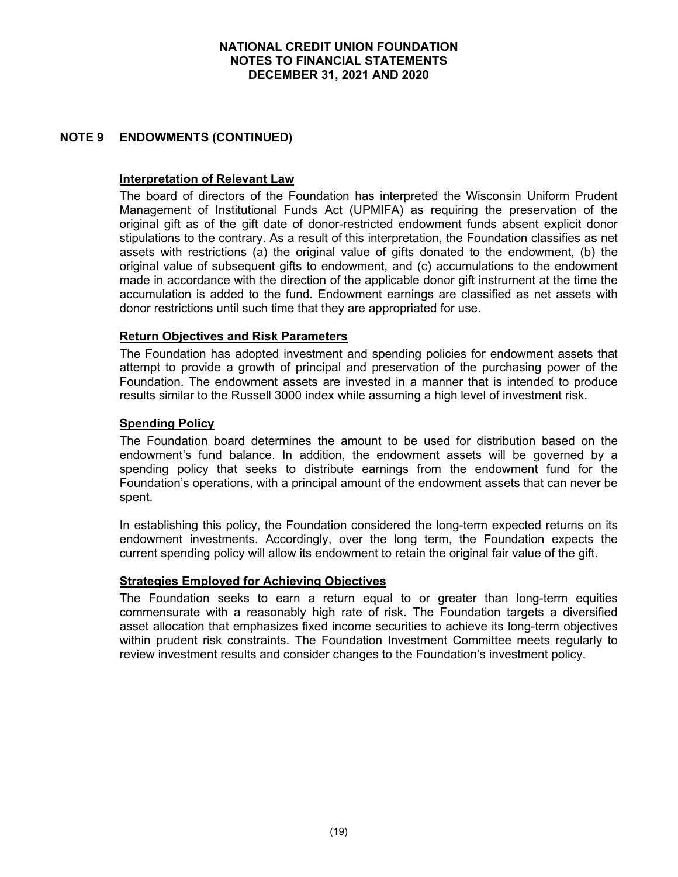## **NOTE 9 ENDOWMENTS (CONTINUED)**

### **Interpretation of Relevant Law**

The board of directors of the Foundation has interpreted the Wisconsin Uniform Prudent Management of Institutional Funds Act (UPMIFA) as requiring the preservation of the original gift as of the gift date of donor-restricted endowment funds absent explicit donor stipulations to the contrary. As a result of this interpretation, the Foundation classifies as net assets with restrictions (a) the original value of gifts donated to the endowment, (b) the original value of subsequent gifts to endowment, and (c) accumulations to the endowment made in accordance with the direction of the applicable donor gift instrument at the time the accumulation is added to the fund. Endowment earnings are classified as net assets with donor restrictions until such time that they are appropriated for use.

### **Return Objectives and Risk Parameters**

The Foundation has adopted investment and spending policies for endowment assets that attempt to provide a growth of principal and preservation of the purchasing power of the Foundation. The endowment assets are invested in a manner that is intended to produce results similar to the Russell 3000 index while assuming a high level of investment risk.

### **Spending Policy**

The Foundation board determines the amount to be used for distribution based on the endowment's fund balance. In addition, the endowment assets will be governed by a spending policy that seeks to distribute earnings from the endowment fund for the Foundation's operations, with a principal amount of the endowment assets that can never be spent.

In establishing this policy, the Foundation considered the long-term expected returns on its endowment investments. Accordingly, over the long term, the Foundation expects the current spending policy will allow its endowment to retain the original fair value of the gift.

## **Strategies Employed for Achieving Objectives**

The Foundation seeks to earn a return equal to or greater than long-term equities commensurate with a reasonably high rate of risk. The Foundation targets a diversified asset allocation that emphasizes fixed income securities to achieve its long-term objectives within prudent risk constraints. The Foundation Investment Committee meets regularly to review investment results and consider changes to the Foundation's investment policy.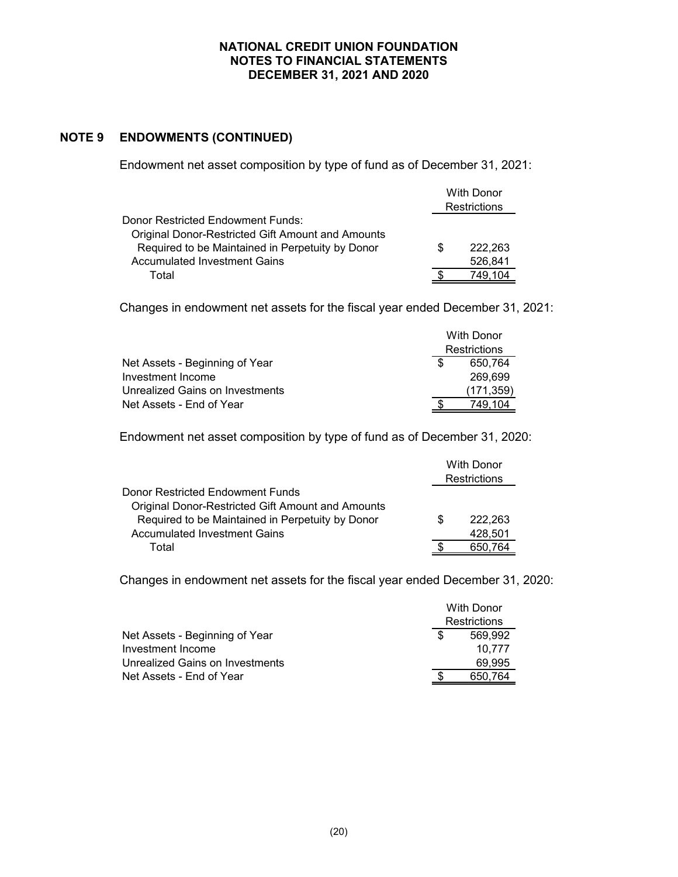## **NOTE 9 ENDOWMENTS (CONTINUED)**

Endowment net asset composition by type of fund as of December 31, 2021:

|                                                   | With Donor<br>Restrictions |  |
|---------------------------------------------------|----------------------------|--|
| Donor Restricted Endowment Funds:                 |                            |  |
| Original Donor-Restricted Gift Amount and Amounts |                            |  |
| Required to be Maintained in Perpetuity by Donor  | \$<br>222.263              |  |
| Accumulated Investment Gains                      | 526,841                    |  |
| Total                                             | 749.104                    |  |

Changes in endowment net assets for the fiscal year ended December 31, 2021:

|                                 | With Donor          |  |  |
|---------------------------------|---------------------|--|--|
|                                 | <b>Restrictions</b> |  |  |
| Net Assets - Beginning of Year  | 650.764             |  |  |
| Investment Income               | 269.699             |  |  |
| Unrealized Gains on Investments | (171, 359)          |  |  |
| Net Assets - End of Year        | 749.104             |  |  |

Endowment net asset composition by type of fund as of December 31, 2020:

|                                                          |    | With Donor<br>Restrictions |  |  |
|----------------------------------------------------------|----|----------------------------|--|--|
| Donor Restricted Endowment Funds                         |    |                            |  |  |
| <b>Original Donor-Restricted Gift Amount and Amounts</b> |    |                            |  |  |
| Required to be Maintained in Perpetuity by Donor         | \$ | 222.263                    |  |  |
| <b>Accumulated Investment Gains</b>                      |    | 428,501                    |  |  |
| Total                                                    |    | 650.764                    |  |  |

Changes in endowment net assets for the fiscal year ended December 31, 2020:

|                                 | <b>With Donor</b>   |         |
|---------------------------------|---------------------|---------|
|                                 | <b>Restrictions</b> |         |
| Net Assets - Beginning of Year  |                     | 569.992 |
| Investment Income               |                     | 10.777  |
| Unrealized Gains on Investments |                     | 69.995  |
| Net Assets - End of Year        |                     | 650,764 |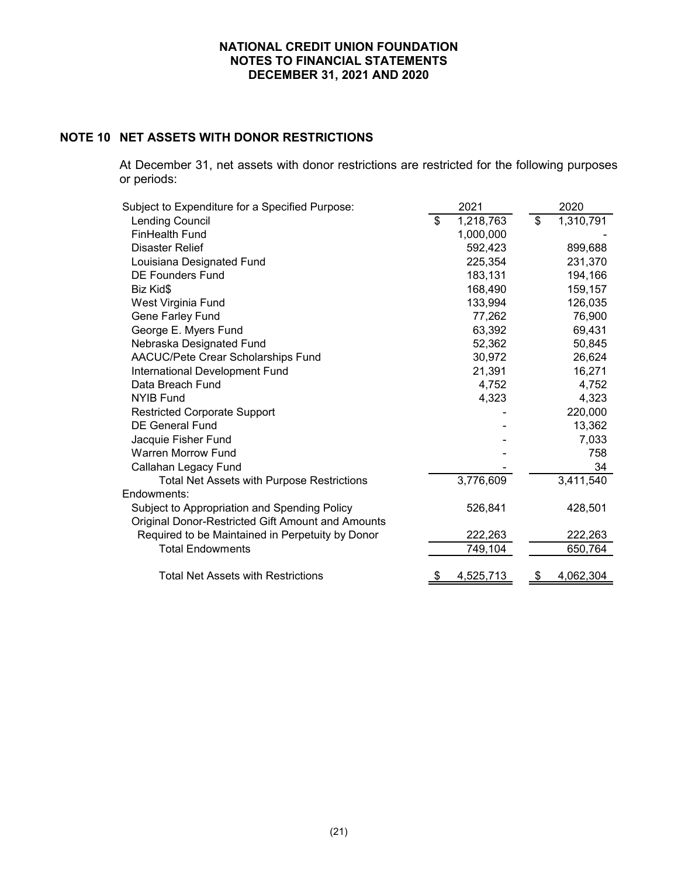# **NOTE 10 NET ASSETS WITH DONOR RESTRICTIONS**

At December 31, net assets with donor restrictions are restricted for the following purposes or periods:

| Subject to Expenditure for a Specified Purpose:   | 2021            | 2020            |
|---------------------------------------------------|-----------------|-----------------|
| <b>Lending Council</b>                            | \$<br>1,218,763 | \$<br>1,310,791 |
| <b>FinHealth Fund</b>                             | 1,000,000       |                 |
| <b>Disaster Relief</b>                            | 592,423         | 899,688         |
| Louisiana Designated Fund                         | 225,354         | 231,370         |
| <b>DE Founders Fund</b>                           | 183,131         | 194,166         |
| Biz Kid\$                                         | 168,490         | 159,157         |
| West Virginia Fund                                | 133,994         | 126,035         |
| Gene Farley Fund                                  | 77,262          | 76,900          |
| George E. Myers Fund                              | 63,392          | 69,431          |
| Nebraska Designated Fund                          | 52,362          | 50,845          |
| AACUC/Pete Crear Scholarships Fund                | 30,972          | 26,624          |
| International Development Fund                    | 21,391          | 16,271          |
| Data Breach Fund                                  | 4,752           | 4,752           |
| <b>NYIB Fund</b>                                  | 4,323           | 4,323           |
| <b>Restricted Corporate Support</b>               |                 | 220,000         |
| <b>DE General Fund</b>                            |                 | 13,362          |
| Jacquie Fisher Fund                               |                 | 7,033           |
| <b>Warren Morrow Fund</b>                         |                 | 758             |
| Callahan Legacy Fund                              |                 | 34              |
| <b>Total Net Assets with Purpose Restrictions</b> | 3,776,609       | 3,411,540       |
| Endowments:                                       |                 |                 |
| Subject to Appropriation and Spending Policy      | 526,841         | 428,501         |
| Original Donor-Restricted Gift Amount and Amounts |                 |                 |
| Required to be Maintained in Perpetuity by Donor  | 222,263         | 222,263         |
| <b>Total Endowments</b>                           | 749,104         | 650,764         |
| Total Net Assets with Restrictions                | \$<br>4,525,713 | \$<br>4,062,304 |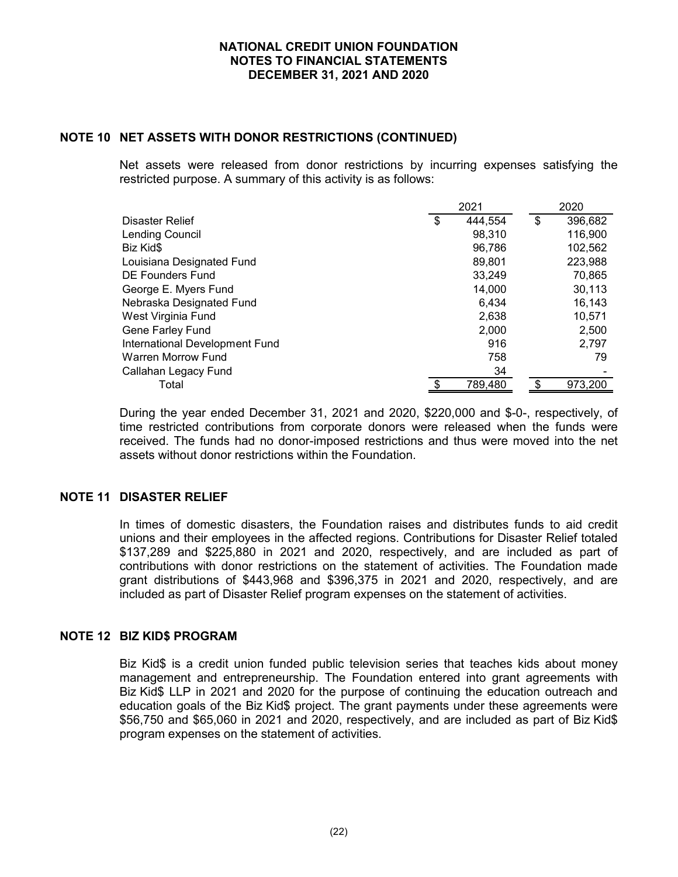### **NOTE 10 NET ASSETS WITH DONOR RESTRICTIONS (CONTINUED)**

Net assets were released from donor restrictions by incurring expenses satisfying the restricted purpose. A summary of this activity is as follows:

|                                | 2021 |         |   | 2020    |  |
|--------------------------------|------|---------|---|---------|--|
| Disaster Relief                | \$   | 444.554 | S | 396,682 |  |
| Lending Council                |      | 98,310  |   | 116,900 |  |
| Biz Kid\$                      |      | 96,786  |   | 102,562 |  |
| Louisiana Designated Fund      |      | 89,801  |   | 223,988 |  |
| <b>DE Founders Fund</b>        |      | 33.249  |   | 70,865  |  |
| George E. Myers Fund           |      | 14,000  |   | 30,113  |  |
| Nebraska Designated Fund       |      | 6,434   |   | 16,143  |  |
| West Virginia Fund             |      | 2,638   |   | 10,571  |  |
| Gene Farley Fund               |      | 2,000   |   | 2,500   |  |
| International Development Fund |      | 916     |   | 2,797   |  |
| <b>Warren Morrow Fund</b>      |      | 758     |   | 79      |  |
| Callahan Legacy Fund           |      | 34      |   |         |  |
| Total                          |      | 789,480 |   | 973,200 |  |

During the year ended December 31, 2021 and 2020, \$220,000 and \$-0-, respectively, of time restricted contributions from corporate donors were released when the funds were received. The funds had no donor-imposed restrictions and thus were moved into the net assets without donor restrictions within the Foundation.

## **NOTE 11 DISASTER RELIEF**

In times of domestic disasters, the Foundation raises and distributes funds to aid credit unions and their employees in the affected regions. Contributions for Disaster Relief totaled \$137,289 and \$225,880 in 2021 and 2020, respectively, and are included as part of contributions with donor restrictions on the statement of activities. The Foundation made grant distributions of \$443,968 and \$396,375 in 2021 and 2020, respectively, and are included as part of Disaster Relief program expenses on the statement of activities.

## **NOTE 12 BIZ KID\$ PROGRAM**

Biz Kid\$ is a credit union funded public television series that teaches kids about money management and entrepreneurship. The Foundation entered into grant agreements with Biz Kid\$ LLP in 2021 and 2020 for the purpose of continuing the education outreach and education goals of the Biz Kid\$ project. The grant payments under these agreements were \$56,750 and \$65,060 in 2021 and 2020, respectively, and are included as part of Biz Kid\$ program expenses on the statement of activities.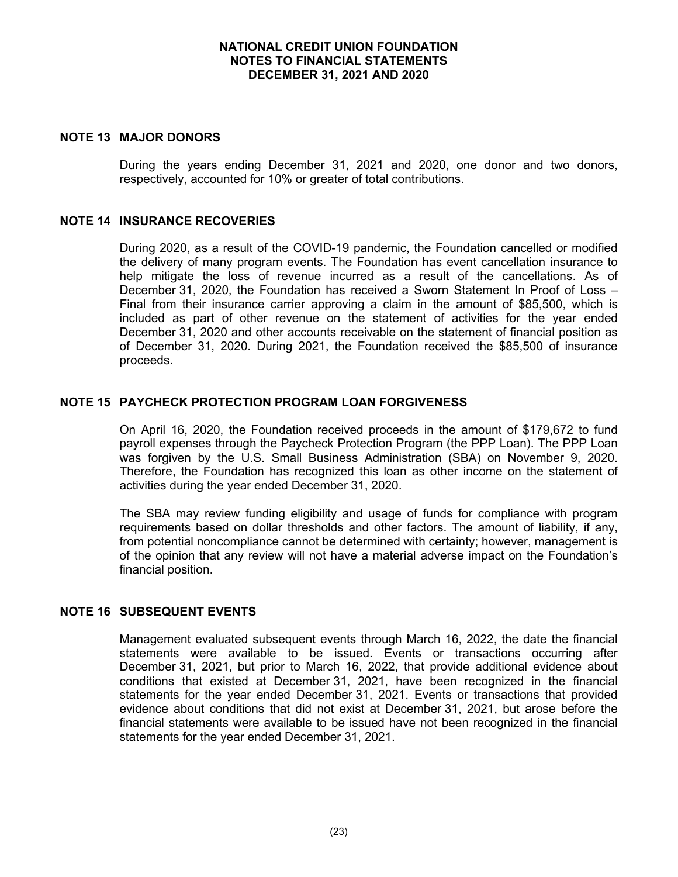#### **NOTE 13 MAJOR DONORS**

During the years ending December 31, 2021 and 2020, one donor and two donors, respectively, accounted for 10% or greater of total contributions.

#### **NOTE 14 INSURANCE RECOVERIES**

During 2020, as a result of the COVID-19 pandemic, the Foundation cancelled or modified the delivery of many program events. The Foundation has event cancellation insurance to help mitigate the loss of revenue incurred as a result of the cancellations. As of December 31, 2020, the Foundation has received a Sworn Statement In Proof of Loss – Final from their insurance carrier approving a claim in the amount of \$85,500, which is included as part of other revenue on the statement of activities for the year ended December 31, 2020 and other accounts receivable on the statement of financial position as of December 31, 2020. During 2021, the Foundation received the \$85,500 of insurance proceeds.

## **NOTE 15 PAYCHECK PROTECTION PROGRAM LOAN FORGIVENESS**

On April 16, 2020, the Foundation received proceeds in the amount of \$179,672 to fund payroll expenses through the Paycheck Protection Program (the PPP Loan). The PPP Loan was forgiven by the U.S. Small Business Administration (SBA) on November 9, 2020. Therefore, the Foundation has recognized this loan as other income on the statement of activities during the year ended December 31, 2020.

The SBA may review funding eligibility and usage of funds for compliance with program requirements based on dollar thresholds and other factors. The amount of liability, if any, from potential noncompliance cannot be determined with certainty; however, management is of the opinion that any review will not have a material adverse impact on the Foundation's financial position.

#### **NOTE 16 SUBSEQUENT EVENTS**

Management evaluated subsequent events through March 16, 2022, the date the financial statements were available to be issued. Events or transactions occurring after December 31, 2021, but prior to March 16, 2022, that provide additional evidence about conditions that existed at December 31, 2021, have been recognized in the financial statements for the year ended December 31, 2021. Events or transactions that provided evidence about conditions that did not exist at December 31, 2021, but arose before the financial statements were available to be issued have not been recognized in the financial statements for the year ended December 31, 2021.